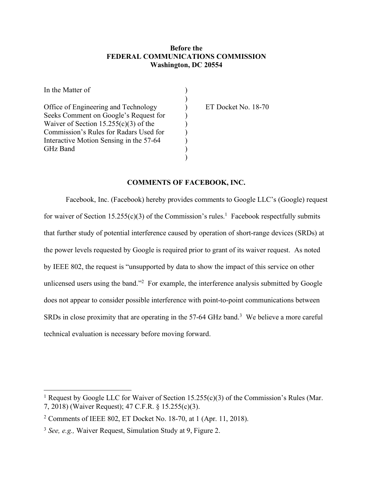## **Before the FEDERAL COMMUNICATIONS COMMISSION Washington, DC 20554**

| In the Matter of                        |                     |
|-----------------------------------------|---------------------|
|                                         |                     |
| Office of Engineering and Technology    | ET Docket No. 18-70 |
| Seeks Comment on Google's Request for   |                     |
| Waiver of Section $15.255(c)(3)$ of the |                     |
| Commission's Rules for Radars Used for  |                     |
| Interactive Motion Sensing in the 57-64 |                     |
| GHz Band                                |                     |
|                                         |                     |

## **COMMENTS OF FACEBOOK, INC.**

Facebook, Inc. (Facebook) hereby provides comments to Google LLC's (Google) request for waiver of Section 15.255(c)(3) of the Commission's rules.<sup>1</sup> Facebook respectfully submits that further study of potential interference caused by operation of short-range devices (SRDs) at the power levels requested by Google is required prior to grant of its waiver request. As noted by IEEE 802, the request is "unsupported by data to show the impact of this service on other unlicensed users using the band."<sup>2</sup> For example, the interference analysis submitted by Google does not appear to consider possible interference with point-to-point communications between SRDs in close proximity that are operating in the 57-64 GHz band.<sup>3</sup> We believe a more careful technical evaluation is necessary before moving forward.

<sup>&</sup>lt;sup>1</sup> Request by Google LLC for Waiver of Section 15.255(c)(3) of the Commission's Rules (Mar. 7, 2018) (Waiver Request); 47 C.F.R. § 15.255(c)(3).

<sup>2</sup> Comments of IEEE 802, ET Docket No. 18-70, at 1 (Apr. 11, 2018).

<sup>3</sup> *See, e.g.,* Waiver Request, Simulation Study at 9, Figure 2.